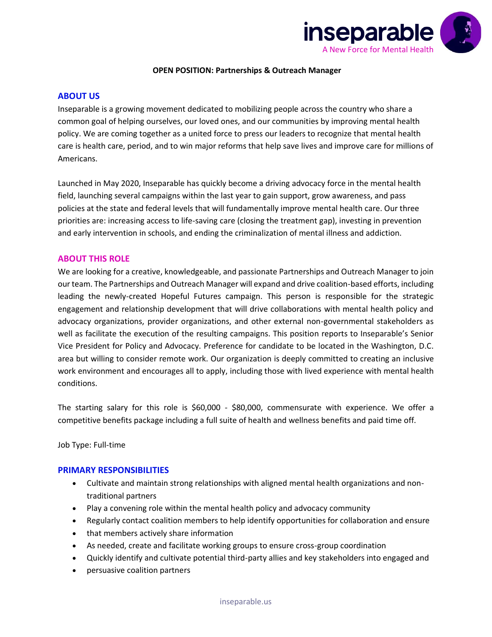

### **OPEN POSITION: Partnerships & Outreach Manager**

### **ABOUT US**

Inseparable is a growing movement dedicated to mobilizing people across the country who share a common goal of helping ourselves, our loved ones, and our communities by improving mental health policy. We are coming together as a united force to press our leaders to recognize that mental health care is health care, period, and to win major reforms that help save lives and improve care for millions of Americans.

Launched in May 2020, Inseparable has quickly become a driving advocacy force in the mental health field, launching several campaigns within the last year to gain support, grow awareness, and pass policies at the state and federal levels that will fundamentally improve mental health care. Our three priorities are: increasing access to life-saving care (closing the treatment gap), investing in prevention and early intervention in schools, and ending the criminalization of mental illness and addiction.

### **ABOUT THIS ROLE**

We are looking for a creative, knowledgeable, and passionate Partnerships and Outreach Manager to join our team. The Partnerships and Outreach Manager will expand and drive coalition-based efforts, including leading the newly-created Hopeful Futures campaign. This person is responsible for the strategic engagement and relationship development that will drive collaborations with mental health policy and advocacy organizations, provider organizations, and other external non-governmental stakeholders as well as facilitate the execution of the resulting campaigns. This position reports to Inseparable's Senior Vice President for Policy and Advocacy. Preference for candidate to be located in the Washington, D.C. area but willing to consider remote work. Our organization is deeply committed to creating an inclusive work environment and encourages all to apply, including those with lived experience with mental health conditions.

The starting salary for this role is \$60,000 - \$80,000, commensurate with experience. We offer a competitive benefits package including a full suite of health and wellness benefits and paid time off.

Job Type: Full-time

### **PRIMARY RESPONSIBILITIES**

- Cultivate and maintain strong relationships with aligned mental health organizations and nontraditional partners
- Play a convening role within the mental health policy and advocacy community
- Regularly contact coalition members to help identify opportunities for collaboration and ensure
- that members actively share information
- As needed, create and facilitate working groups to ensure cross-group coordination
- Quickly identify and cultivate potential third-party allies and key stakeholders into engaged and
- persuasive coalition partners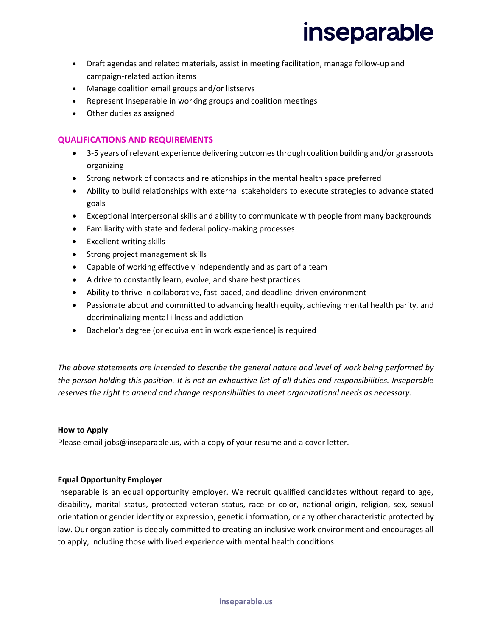## **inseparable**

- Draft agendas and related materials, assist in meeting facilitation, manage follow-up and campaign-related action items
- Manage coalition email groups and/or listservs
- Represent Inseparable in working groups and coalition meetings
- Other duties as assigned

### **QUALIFICATIONS AND REQUIREMENTS**

- 3-5 years of relevant experience delivering outcomes through coalition building and/or grassroots organizing
- Strong network of contacts and relationships in the mental health space preferred
- Ability to build relationships with external stakeholders to execute strategies to advance stated goals
- Exceptional interpersonal skills and ability to communicate with people from many backgrounds
- Familiarity with state and federal policy-making processes
- Excellent writing skills
- Strong project management skills
- Capable of working effectively independently and as part of a team
- A drive to constantly learn, evolve, and share best practices
- Ability to thrive in collaborative, fast-paced, and deadline-driven environment
- Passionate about and committed to advancing health equity, achieving mental health parity, and decriminalizing mental illness and addiction
- Bachelor's degree (or equivalent in work experience) is required

*The above statements are intended to describe the general nature and level of work being performed by the person holding this position. It is not an exhaustive list of all duties and responsibilities. Inseparable reserves the right to amend and change responsibilities to meet organizational needs as necessary.*

#### **How to Apply**

Please email jobs@inseparable.us, with a copy of your resume and a cover letter.

### **Equal Opportunity Employer**

Inseparable is an equal opportunity employer. We recruit qualified candidates without regard to age, disability, marital status, protected veteran status, race or color, national origin, religion, sex, sexual orientation or gender identity or expression, genetic information, or any other characteristic protected by law. Our organization is deeply committed to creating an inclusive work environment and encourages all to apply, including those with lived experience with mental health conditions.